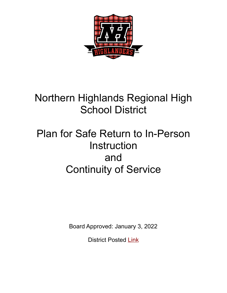

## Northern Highlands Regional High School District

# Plan for Safe Return to In-Person Instruction and Continuity of Service

Board Approved: January 3, 2022

District Posted [Link](https://www.northernhighlands.org/Page/6862)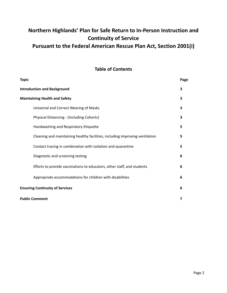### **Northern Highlands' Plan for Safe Return to In-Person Instruction and Continuity of Service Pursuant to the Federal American Rescue Plan Act, Section 2001(i)**

#### **Table of Contents**

| <b>Topic</b>                                                                 | Page |
|------------------------------------------------------------------------------|------|
| <b>Introduction and Background</b>                                           | 3    |
| <b>Maintaining Health and Safety</b>                                         | 3    |
| Universal and Correct Wearing of Masks                                       | 3    |
| <b>Physical Distancing - (Including Cohorts)</b>                             | 3    |
| Handwashing and Respiratory Etiquette                                        | 5    |
| Cleaning and maintaining healthy facilities, including improving ventilation | 5    |
| Contact tracing in combination with isolation and quarantine                 | 5    |
| Diagnostic and screening testing                                             | 6    |
| Efforts to provide vaccinations to educators, other staff, and students      | 6    |
| Appropriate accommodations for children with disabilities                    | 6    |
| <b>Ensuring Continuity of Services</b>                                       | 6    |
| <b>Public Comment</b>                                                        | 7    |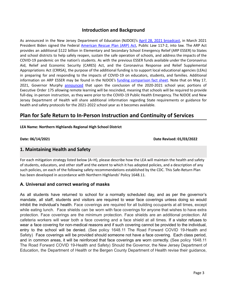#### **Introduction and Background**

As announced in the New Jersey Department of Education (NJDOE)'s April 28, 2021 [broadcast,](https://www.nj.gov/education/broadcasts/2021/april/AmericanRescuePlanESSERFunds.pdf) in March 2021 President Biden signed the Federal [American](https://www.congress.gov/117/bills/hr1319/BILLS-117hr1319enr.pdf) Rescue Plan (ARP) Act, Public Law 117-2, into law. The ARP Act provides an additional \$122 billion in Elementary and Secondary School Emergency Relief (ARP ESSER) to States and school districts to help safely reopen, sustain the safe operation of schools, and address the impacts of the COVID-19 pandemic on the nation's students. As with the previous ESSER funds available under the Coronavirus Aid, Relief and Economic Security (CARES) Act, and the Coronavirus Response and Relief Supplemental Appropriations Act (CRRSA), the purpose of the additional funding is to support local educational agencies (LEAs) in preparing for and responding to the impacts of COVID-19 on educators, students, and families. Additional information on ARP ESSER may be found in the NJDOE's funding [comparison](https://www.nj.gov/education/esser/docs/ESSERFactSheet.pdf) fact sheet. Note that on May 17, 2021, Governor Murphy [announced](https://nj.gov/governor/news/news/562021/approved/20210517a.shtml) that upon the conclusion of the 2020-2021 school year, portions of Executive Order 175 allowing remote learning will be rescinded, meaning that schools will be required to provide full-day, in-person instruction, as they were prior to the COVID-19 Public Health Emergency. The NJDOE and New Jersey Department of Health will share additional information regarding State requirements or guidance for health and safety protocols for the 2021-2022 school year as it becomes available.

### **Plan for Safe Return to In-Person Instruction and Continuity of Services**

#### **LEA Name: Northern Highlands Regional High School District**

**Date: 06/14/2021 Date Revised: 01/03/2022**

#### **1. Maintaining Health and Safety**

For each mitigation strategy listed below (A–H), please describe how the LEA will maintain the health and safety of students, educators, and other staff and the extent to which it has adopted policies, and a description of any such policies, on each of the following safety recommendations established by the CDC. This Safe-Return Plan has been developed in accordance with Northern Highlands' Policy 1648.11.

#### **A. Universal and correct wearing of masks**

As all students have returned to school for a normally scheduled day, and as per the governor's mandate, all staff, students and visitors are required to wear face coverings unless doing so would inhibit the individual's health. Face coverings are required for all building occupants at all times, except while eating lunch. Face shields can be worn with face coverings for anyone that wishes to have extra protection. Face coverings are the minimum protection. Face shields are an additional protection. All cafeteria workers will wear both a face covering and a face shield at all times. If a visitor refuses to wear a face covering for non-medical reasons and if such covering cannot be provided to the individual, entry to the school will be denied. (See policy 1648.11 The Road Forward COVID 19-Health and Safety) Face coverings will be provided should someone not have a face covering. Each class period, and in common areas, it will be reinforced that face coverings are worn correctly. (See policy 1648.11 The Road Forward COVID 19-Health and Safety) Should the Governor, the New Jersey Department of Education, the Department of Health or the Bergen County Department of Health revise their guidance,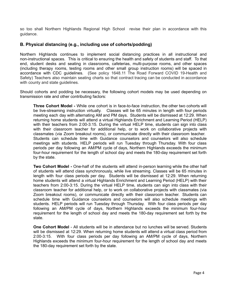so too shall Northern Highlands Regional High School revise their plan in accordance with this guidance.

#### **B. Physical distancing (e.g., including use of cohorts/podding)**

Northern Highlands continues to implement social distancing practices in all instructional and non-instructional spaces. This is critical to ensuring the health and safety of students and staff. To that end, student desks and seating in classrooms, cafeterias, multi-purpose rooms, and other spaces (including therapy rooms, testing rooms and other small group instruction rooms) will be spaced in accordance with CDC guidelines. (See policy 1648.11 The Road Forward COVID 19-Health and Safety) Teachers also maintain seating charts so that contract tracing can be conducted in accordance with county and state quidelines.

Should cohorts and podding be necessary, the following cohort models may be used depending on transmission rate and other contributing factors:

**Three Cohort Model -** While one cohort is in face-to-face instruction, the other two cohorts will be live-streaming instruction virtually. Classes will be 65 minutes in length with four periods meeting each day with alternating AM and PM days. Students will be dismissed at 12:29. When returning home students will attend a virtual Highlands Enrichment and Learning Period (HELP) with their teachers from 2:00-3:15. During the virtual HELP time, students can sign into class with their classroom teacher for additional help, or to work on collaborative projects with classmates (via Zoom breakout rooms), or communicate directly with their classroom teacher. Students can schedule time with Guidance counselors and counselors will also schedule meetings with students. HELP periods will run Tuesday through Thursday. With four class periods per day following an AM/PM cycle of days, Northern Highlands exceeds the minimum four-hour requirement for the length of school day and meets the 180-day requirement set forth by the state.

**Two Cohort Model -** One-half of the students will attend in-person learning while the other half of students will attend class synchronously, while live streaming. Classes will be 65 minutes in length with four class periods per day. Students will be dismissed at 12:29. When returning home students will attend a virtual Highlands Enrichment and Learning Period (HELP) with their teachers from 2:00-3:15. During the virtual HELP time, students can sign into class with their classroom teacher for additional help, or to work on collaborative projects with classmates (via Zoom breakout rooms), or communicate directly with their classroom teacher. Students can schedule time with Guidance counselors and counselors will also schedule meetings with students. HELP periods will run Tuesday through Thursday. With four class periods per day following an AM/PM cycle of days, Northern Highlands exceeds the minimum four-hour requirement for the length of school day and meets the 180-day requirement set forth by the state.

**One Cohort Model** - All students will be in attendance but no lunches will be served. Students will be dismissed at 12:29. When returning home students will attend a virtual class period from 2:00-3:15. With four class periods per day following an AM/PM cycle of days, Northern Highlands exceeds the minimum four-hour requirement for the length of school day and meets the 180-day requirement set forth by the state.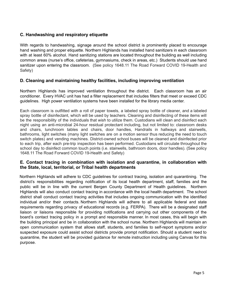#### **C. Handwashing and respiratory etiquette**

With regards to handwashing, signage around the school district is prominently placed to encourage hand washing and proper etiquette. Northern Highlands has installed hand sanitizers in each classroom with at least 60% alcohol. Hand sanitizing stations are located throughout the building as well including common areas (nurse's office, cafeterias, gymnasiums, check in areas, etc.) Students should use hand sanitizer upon entering the classroom. (See policy 1648.11 The Road Forward COVID 19-Health and Safety)

#### **D. Cleaning and maintaining healthy facilities, including improving ventilation**

Northern Highlands has improved ventilation throughout the district. Each classroom has an air conditioner. Every HVAC unit has had a filter replacement that includes filters that meet or exceed CDC guidelines. High power ventilation systems have been installed for the library media center.

Each classroom is outfitted with a roll of paper towels, a labeled spray bottle of cleaner, and a labeled spray bottle of disinfectant, which will be used by teachers. Cleaning and disinfecting of these items will be the responsibility of the individuals that wish to utilize them. Custodians will clean and disinfect each night using an anti-microbial 24-hour residual protectant including, but not limited to: classroom desks and chairs, lunchroom tables and chairs, door handles, Handrails in hallways and stairwells, bathrooms, light switches (many light switches are on a motion sensor thus reducing the need to touch switch plates) and vending machines. District-owned school buses will be cleaned and disinfected prior to each trip, after each pre-trip inspection has been performed. Custodians will circulate throughout the school day to disinfect common touch points (i.e. stairwells, bathroom doors, door handles). (See policy 1648.11 The Road Forward COVID 19-Health and Safety)

#### **E. Contact tracing in combination with isolation and quarantine, in collaboration with the State, local, territorial, or Tribal health departments**

Northern Highlands will adhere to CDC guidelines for contract tracing, isolation and quarantining. The district's responsibilities regarding notification of its local health department, staff, families and the public will be in line with the current Bergen County Department of Health guidelines. Northern Highlands will also conduct contact tracing in accordance with the local health department. The school district shall conduct contact tracing activities that includes ongoing communication with the identified individual and/or their contacts. Northern Highlands will adhere to all applicable federal and state requirements regarding privacy of educational records (e.g. FERPA). There will be a designated staff liaison or liaisons responsible for providing notifications and carrying out other components of the board's contact tracing policy in a prompt and responsible manner. In most cases, this will begin with the building principal and be in collaboration with the school nurse. Northern Highlands will maintain an open communication system that allows staff, students, and families to self-report symptoms and/or suspected exposure could assist school districts provide prompt notification. Should a student need to quarantine, the student will be provided guidance for remote instruction including using Canvas for this purpose.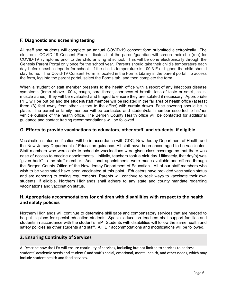#### **F. Diagnostic and screening testing**

All staff and students will complete an annual COVID-19 consent form submitted electronically. The electronic COVID-19 Consent Form indicates that the parent/guardian will screen their child(ren) for COVID-19 symptoms prior to the child arriving at school. This will be done electronically through the Genesis Parent Portal only once for the school year. Parents should take their child's temperature each day before he/she departs for school. If the child's temperature is 100.3 F or higher, the child should stay home. The Covid-19 Consent Form is located in the Forms Library in the parent portal. To access the form, log into the parent portal, select the Forms tab, and then complete the form.

When a student or staff member presents to the health office with a report of any infectious disease symptoms (temp above 100.4, cough, sore throat, shortness of breath, loss of taste or smell, chills, muscle aches), they will be evaluated and triaged to ensure they are isolated if necessary. Appropriate PPE will be put on and the student/staff member will be isolated in the far area of health office (at least three (3) feet away from other visitors to the office) with curtain drawn. Face covering should be in place. The parent or family member will be contacted and student/staff member escorted to his/her vehicle outside of the health office. The Bergen County Health office will be contacted for additional guidance and contact tracing recommendations will be followed.

#### **G. Efforts to provide vaccinations to educators, other staff, and students, if eligible**

Vaccination status notification will be in accordance with CDC, New Jersey Department of Health and the New Jersey Department of Education guidance. All staff have been encouraged to be vaccinated. Staff members who were able to schedule vaccinations were given class coverage so that there was ease of access to vaccine appointments. Initially, teachers took a sick day. Ultimately, that day(s) was "given back" to the staff member. Additional appointments were made available and offered through the Bergen County Office of the New Jersey Department of Education. All of our staff members who wish to be vaccinated have been vaccinated at this point. Educators have provided vaccination status and are adhering to testing requirements. Parents will continue to seek ways to vaccinate their own students, if eligible. Northern Highlands shall adhere to any state and county mandate regarding vaccinations and vaccination status.

#### **H. Appropriate accommodations for children with disabilities with respect to the health and safety policies**

Northern Highlands will continue to determine skill gaps and compensatory services that are needed to be put in place for special education students. Special education teachers shall support families and students in accordance with the student's IEP. Students with disabilities will follow the same health and safety policies as other students and staff. All IEP accommodations and modifications will be followed.

#### **2. Ensuring Continuity of Services**

A. Describe how the LEA will ensure continuity of services, including but not limited to services to address students' academic needs and students' and staff's social, emotional, mental health, and other needs, which may include student health and food services.